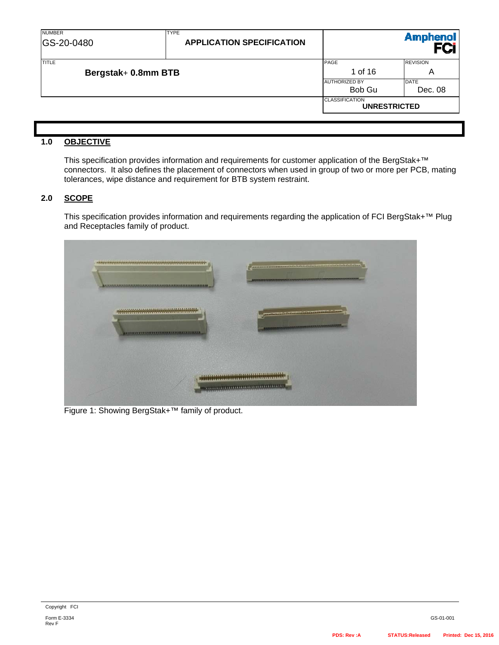| <b>NUMBER</b><br>GS-20-0480 | <b>TYPE</b><br><b>APPLICATION SPECIFICATION</b> |                                              | <b>Amphenol</b> |
|-----------------------------|-------------------------------------------------|----------------------------------------------|-----------------|
| <b>TITLE</b>                |                                                 | PAGE                                         | <b>REVISION</b> |
| Bergstak+ 0.8mm BTB         |                                                 | 1 of 16                                      | A               |
|                             |                                                 | <b>AUTHORIZED BY</b>                         | <b>DATE</b>     |
|                             |                                                 | Bob Gu                                       | Dec. 08         |
|                             |                                                 | <b>CLASSIFICATION</b><br><b>UNRESTRICTED</b> |                 |
|                             |                                                 |                                              |                 |

#### **1.0 OBJECTIVE**

This specification provides information and requirements for customer application of the BergStak+™ connectors. It also defines the placement of connectors when used in group of two or more per PCB, mating tolerances, wipe distance and requirement for BTB system restraint.

#### **2.0 SCOPE**

This specification provides information and requirements regarding the application of FCI BergStak+™ Plug and Receptacles family of product.



Figure 1: Showing BergStak+™ family of product.

Rev F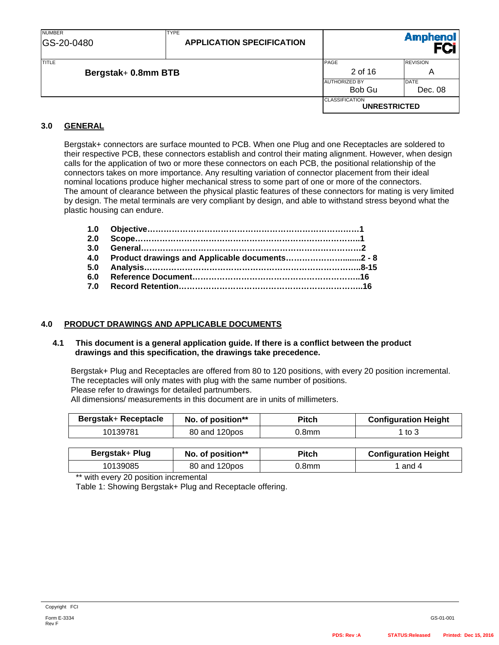| <b>NUMBER</b><br>GS-20-0480 | <b>TYPE</b><br><b>APPLICATION SPECIFICATION</b> |                                              | <b>Amphenol</b> |
|-----------------------------|-------------------------------------------------|----------------------------------------------|-----------------|
| <b>TITLE</b>                |                                                 | PAGE                                         | <b>REVISION</b> |
| Bergstak+ 0.8mm BTB         |                                                 | 2 of 16                                      | A               |
|                             |                                                 | <b>AUTHORIZED BY</b>                         | <b>DATE</b>     |
|                             |                                                 | Bob Gu                                       | Dec. 08         |
|                             |                                                 | <b>CLASSIFICATION</b><br><b>UNRESTRICTED</b> |                 |

### **3.0 GENERAL**

Bergstak+ connectors are surface mounted to PCB. When one Plug and one Receptacles are soldered to their respective PCB, these connectors establish and control their mating alignment. However, when design calls for the application of two or more these connectors on each PCB, the positional relationship of the connectors takes on more importance. Any resulting variation of connector placement from their ideal nominal locations produce higher mechanical stress to some part of one or more of the connectors. The amount of clearance between the physical plastic features of these connectors for mating is very limited by design. The metal terminals are very compliant by design, and able to withstand stress beyond what the plastic housing can endure.

| 2.0 |                                                    |  |
|-----|----------------------------------------------------|--|
|     |                                                    |  |
|     | 4.0 Product drawings and Applicable documents2 - 8 |  |
|     |                                                    |  |
|     |                                                    |  |
|     |                                                    |  |

#### **4.0 PRODUCT DRAWINGS AND APPLICABLE DOCUMENTS**

#### **4.1 This document is a general application guide. If there is a conflict between the product drawings and this specification, the drawings take precedence.**

 Bergstak+ Plug and Receptacles are offered from 80 to 120 positions, with every 20 position incremental. The receptacles will only mates with plug with the same number of positions. Please refer to drawings for detailed partnumbers. All dimensions/ measurements in this document are in units of millimeters.

| <b>Bergstak+ Receptacle</b> | No. of position** | <b>Pitch</b> | <b>Configuration Height</b> |
|-----------------------------|-------------------|--------------|-----------------------------|
| 10139781                    | 80 and 120pos     | 0.8mm        | 1 to 3                      |
|                             |                   |              |                             |

| Bergstak+ Plug | No. of position** | Pitch | <b>Configuration Height</b> |
|----------------|-------------------|-------|-----------------------------|
| 10139085       | 80 and 120pos     | 0.8mm | and 4                       |

\*\* with every 20 position incremental

Table 1: Showing Bergstak+ Plug and Receptacle offering.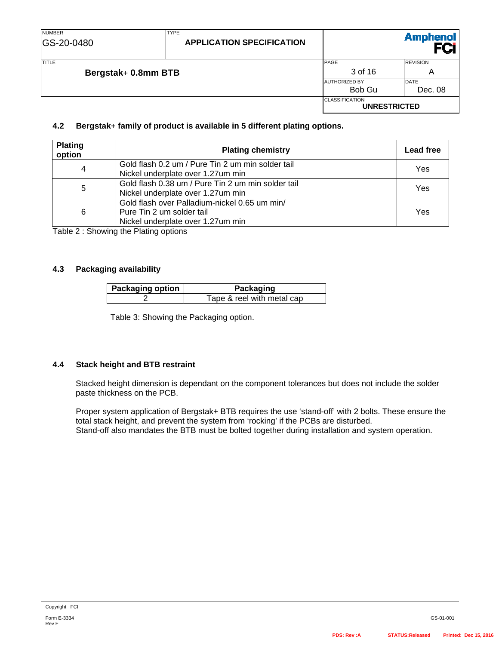| <b>NUMBER</b><br>GS-20-0480  | <b>TYPE</b><br><b>APPLICATION SPECIFICATION</b> |                                              | <b>Amphenol</b>        |
|------------------------------|-------------------------------------------------|----------------------------------------------|------------------------|
| TITLE<br>Bergstak+ 0.8mm BTB |                                                 | PAGE<br>3 of 16                              | <b>REVISION</b><br>A   |
|                              |                                                 | <b>AUTHORIZED BY</b><br>Bob Gu               | <b>DATE</b><br>Dec. 08 |
|                              |                                                 | <b>CLASSIFICATION</b><br><b>UNRESTRICTED</b> |                        |

#### **4.2 Bergstak**+ **family of product is available in 5 different plating options.**

| <b>Plating</b><br>option | <b>Plating chemistry</b>                                                                                        | <b>Lead free</b> |
|--------------------------|-----------------------------------------------------------------------------------------------------------------|------------------|
| 4                        | Gold flash 0.2 um / Pure Tin 2 um min solder tail<br>Nickel underplate over 1.27um min                          | Yes              |
| 5                        | Gold flash 0.38 um / Pure Tin 2 um min solder tail<br>Nickel underplate over 1.27um min                         | Yes              |
| 6                        | Gold flash over Palladium-nickel 0.65 um min/<br>Pure Tin 2 um solder tail<br>Nickel underplate over 1.27um min | Yes              |

Table 2 : Showing the Plating options

#### **4.3 Packaging availability**

| <b>Packaging option</b> | Packaging                  |  |
|-------------------------|----------------------------|--|
|                         | Tape & reel with metal cap |  |

Table 3: Showing the Packaging option.

#### **4.4 Stack height and BTB restraint**

Stacked height dimension is dependant on the component tolerances but does not include the solder paste thickness on the PCB.

Proper system application of Bergstak+ BTB requires the use 'stand-off' with 2 bolts. These ensure the total stack height, and prevent the system from 'rocking' if the PCBs are disturbed. Stand-off also mandates the BTB must be bolted together during installation and system operation.

GS-01-001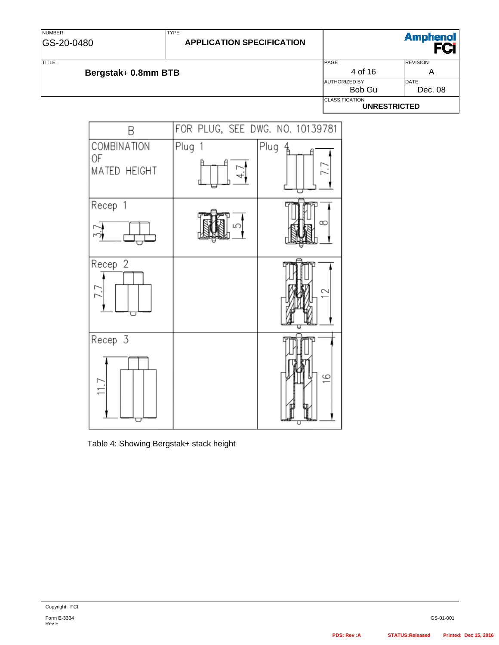NUMBER GS-20-0480

## **APPLICATION SPECIFICATION**

**Amphenol** FCi

TYPE

TITLE TITLE A REVISION CONTINUES AND REVISION CONTINUES OF REVISION CONTINUES AND REVISION CONTINUES OF REVISION **Bergstak+ 0.8mm BTB** A AUTHORIZED BY DATE Bob Gu | Dec. 08 **CLASSIFICATION UNRESTRICTED** 



Table 4: Showing Bergstak+ stack height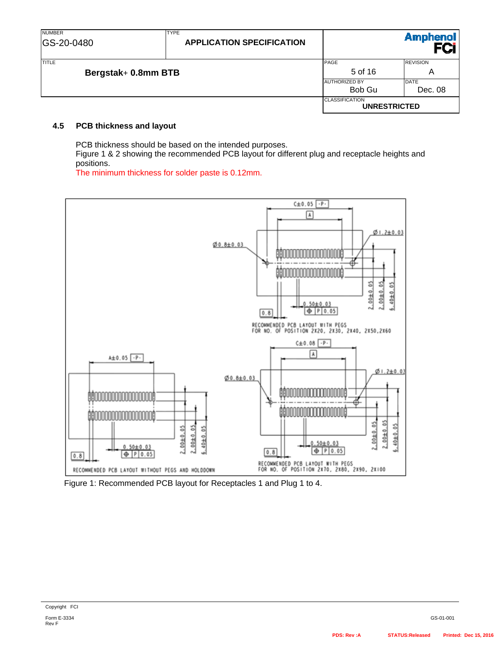| <b>NUMBER</b><br>GS-20-0480         | <b>TYPE</b><br><b>APPLICATION SPECIFICATION</b> |                                              | <b>Amphenol</b>        |
|-------------------------------------|-------------------------------------------------|----------------------------------------------|------------------------|
| <b>TITLE</b><br>Bergstak+ 0.8mm BTB |                                                 | PAGE<br>5 of 16                              | <b>REVISION</b><br>Α   |
|                                     |                                                 | <b>AUTHORIZED BY</b><br>Bob Gu               | <b>DATE</b><br>Dec. 08 |
|                                     |                                                 | <b>CLASSIFICATION</b><br><b>UNRESTRICTED</b> |                        |

#### **4.5 PCB thickness and layout**

PCB thickness should be based on the intended purposes.

Figure 1 & 2 showing the recommended PCB layout for different plug and receptacle heights and positions.

The minimum thickness for solder paste is 0.12mm.



Figure 1: Recommended PCB layout for Receptacles 1 and Plug 1 to 4.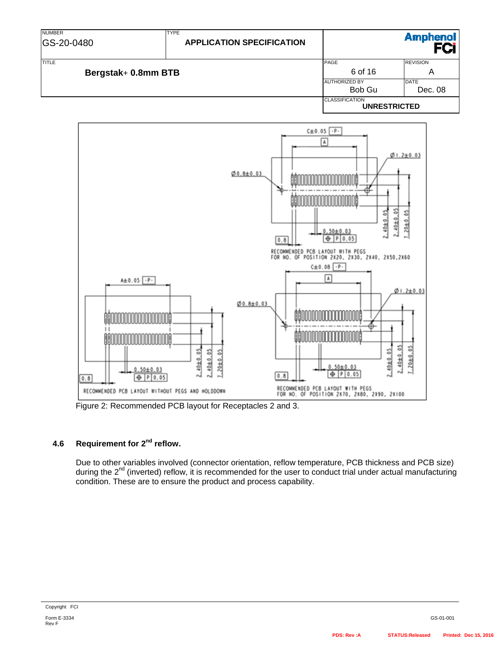



Figure 2: Recommended PCB layout for Receptacles 2 and 3.

# **4.6 Requirement for 2nd reflow.**

Due to other variables involved (connector orientation, reflow temperature, PCB thickness and PCB size) during the  $2^{nd}$  (inverted) reflow, it is recommended for the user to conduct trial under actual manufacturing condition. These are to ensure the product and process capability.

Rev F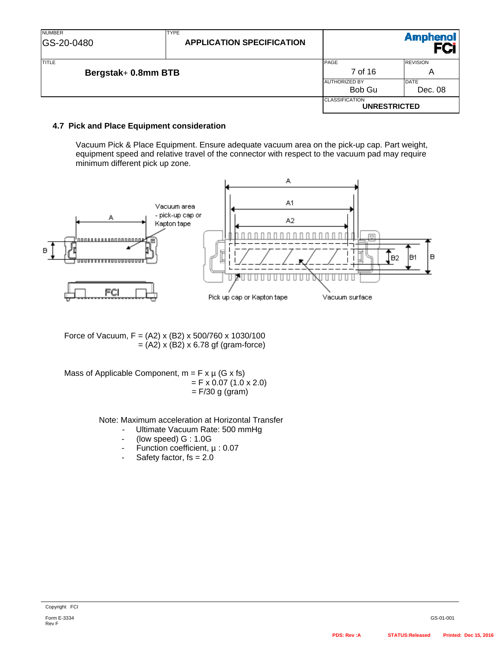| <b>NUMBER</b><br>GS-20-0480         | <b>TYPE</b><br><b>APPLICATION SPECIFICATION</b> |                                              | <b>Amphenol</b>        |
|-------------------------------------|-------------------------------------------------|----------------------------------------------|------------------------|
| <b>TITLE</b><br>Bergstak+ 0.8mm BTB |                                                 | PAGE<br>7 of 16                              | <b>REVISION</b><br>Α   |
|                                     |                                                 | <b>AUTHORIZED BY</b><br>Bob Gu               | <b>DATE</b><br>Dec. 08 |
|                                     |                                                 | <b>CLASSIFICATION</b><br><b>UNRESTRICTED</b> |                        |

#### **4.7 Pick and Place Equipment consideration**

Vacuum Pick & Place Equipment. Ensure adequate vacuum area on the pick-up cap. Part weight, equipment speed and relative travel of the connector with respect to the vacuum pad may require minimum different pick up zone.



Force of Vacuum,  $F = (A2) \times (B2) \times 500/760 \times 1030/100$  $=$  (A2) x (B2) x 6.78 gf (gram-force)

Mass of Applicable Component,  $m = F x \mu$  (G x fs)  $=$  F x 0.07 (1.0 x 2.0)  $=$  F/30 g (gram)

Note: Maximum acceleration at Horizontal Transfer

- Ultimate Vacuum Rate: 500 mmHg
- (low speed) G : 1.0G
- Function coefficient, µ : 0.07
- Safety factor,  $fs = 2.0$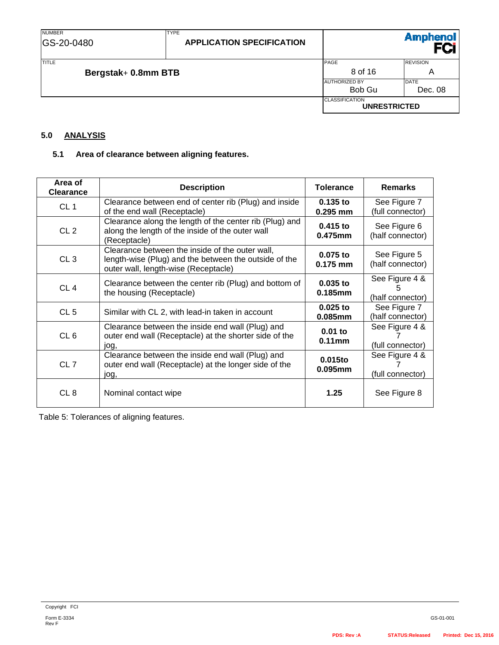TYPE

TITLE TITLE A REVISION CONTINUES AND REVISION CONTINUES OF REVISION CONTINUES AND REVISION CONTINUES OF REVISION **Bergstak+ 0.8mm BTB** A AUTHORIZED BY DATE Bob Gu Dec. 08 **CLASSIFICATION UNRESTRICTED** 

# **5.0 ANALYSIS**

#### **5.1 Area of clearance between aligning features.**

| Area of<br><b>Clearance</b> | <b>Description</b>                                                                                                                               | <b>Tolerance</b>         | <b>Remarks</b>                          |
|-----------------------------|--------------------------------------------------------------------------------------------------------------------------------------------------|--------------------------|-----------------------------------------|
| CL <sub>1</sub>             | Clearance between end of center rib (Plug) and inside<br>of the end wall (Receptacle)                                                            | $0.135$ to<br>$0.295$ mm | See Figure 7<br>(full connector)        |
| CL <sub>2</sub>             | Clearance along the length of the center rib (Plug) and<br>along the length of the inside of the outer wall<br>(Receptacle)                      | $0.415$ to<br>0.475mm    | See Figure 6<br>(half connector)        |
| CL <sub>3</sub>             | Clearance between the inside of the outer wall,<br>length-wise (Plug) and the between the outside of the<br>outer wall, length-wise (Receptacle) | $0.075$ to<br>$0.175$ mm | See Figure 5<br>(half connector)        |
| CL <sub>4</sub>             | Clearance between the center rib (Plug) and bottom of<br>the housing (Receptacle)                                                                | $0.035$ to<br>0.185mm    | See Figure 4 &<br>5<br>(half connector) |
| CL <sub>5</sub>             | Similar with CL 2, with lead-in taken in account                                                                                                 | $0.025$ to<br>0.085mm    | See Figure 7<br>(half connector)        |
| CL <sub>6</sub>             | Clearance between the inside end wall (Plug) and<br>outer end wall (Receptacle) at the shorter side of the<br>jog,                               | $0.01$ to<br>$0.11$ mm   | See Figure 4 &<br>(full connector)      |
| CL <sub>7</sub>             | Clearance between the inside end wall (Plug) and<br>outer end wall (Receptacle) at the longer side of the<br>jog,                                | 0.015to<br>0.095mm       | See Figure 4 &<br>(full connector)      |
| CL <sub>8</sub>             | Nominal contact wipe                                                                                                                             | 1.25                     | See Figure 8                            |

Table 5: Tolerances of aligning features.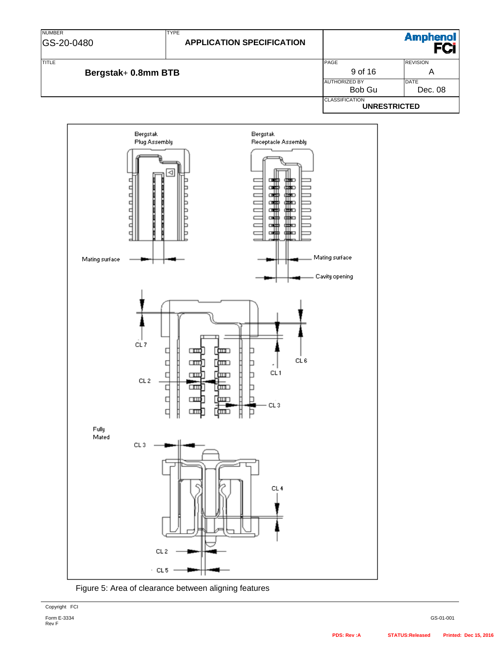| <b>NUMBER</b><br>GS-20-0480         | <b>TYPE</b><br><b>APPLICATION SPECIFICATION</b> |                                              | <b>Amphenol</b>        |
|-------------------------------------|-------------------------------------------------|----------------------------------------------|------------------------|
| <b>TITLE</b><br>Bergstak+ 0.8mm BTB |                                                 | PAGE<br>9 of 16                              | <b>REVISION</b><br>Α   |
|                                     |                                                 | <b>AUTHORIZED BY</b><br>Bob Gu               | <b>DATE</b><br>Dec. 08 |
|                                     |                                                 | <b>CLASSIFICATION</b><br><b>UNRESTRICTED</b> |                        |



Figure 5: Area of clearance between aligning features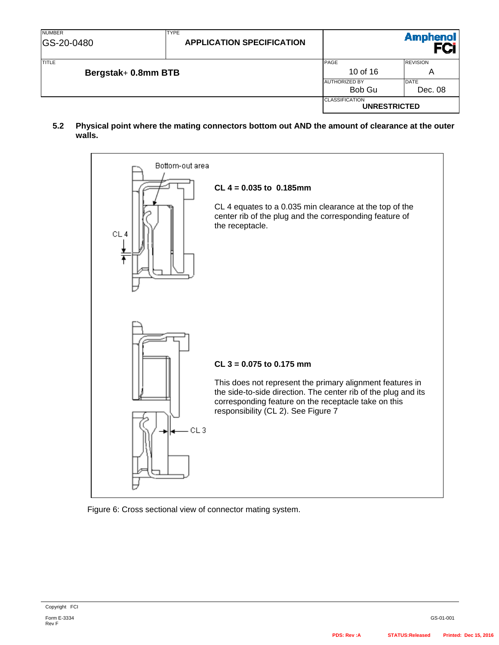| <b>NUMBER</b><br>GS-20-0480         | <b>TYPE</b><br><b>APPLICATION SPECIFICATION</b> |                                              | <b>Amphenol</b>        |
|-------------------------------------|-------------------------------------------------|----------------------------------------------|------------------------|
| <b>TITLE</b><br>Bergstak+ 0.8mm BTB |                                                 | PAGE<br>10 of 16                             | <b>REVISION</b><br>Α   |
|                                     |                                                 | <b>JAUTHORIZED BY</b><br>Bob Gu              | <b>DATE</b><br>Dec. 08 |
|                                     |                                                 | <b>CLASSIFICATION</b><br><b>UNRESTRICTED</b> |                        |

**5.2 Physical point where the mating connectors bottom out AND the amount of clearance at the outer walls.**



Figure 6: Cross sectional view of connector mating system.

Form E-3334 Rev F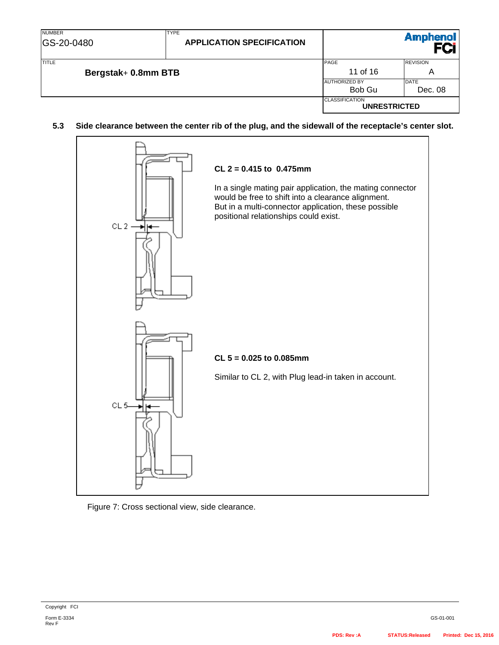| <b>NUMBER</b><br>GS-20-0480         | <b>TYPE</b><br><b>APPLICATION SPECIFICATION</b> |                                              | <b>Amphenol</b>        |
|-------------------------------------|-------------------------------------------------|----------------------------------------------|------------------------|
| <b>TITLE</b><br>Bergstak+ 0.8mm BTB |                                                 | PAGE<br>11 of 16                             | <b>REVISION</b><br>Α   |
|                                     |                                                 | <b>AUTHORIZED BY</b><br>Bob Gu               | <b>DATE</b><br>Dec. 08 |
|                                     |                                                 | <b>CLASSIFICATION</b><br><b>UNRESTRICTED</b> |                        |

#### **5.3 Side clearance between the center rib of the plug, and the sidewall of the receptacle's center slot.**



#### Figure 7: Cross sectional view, side clearance.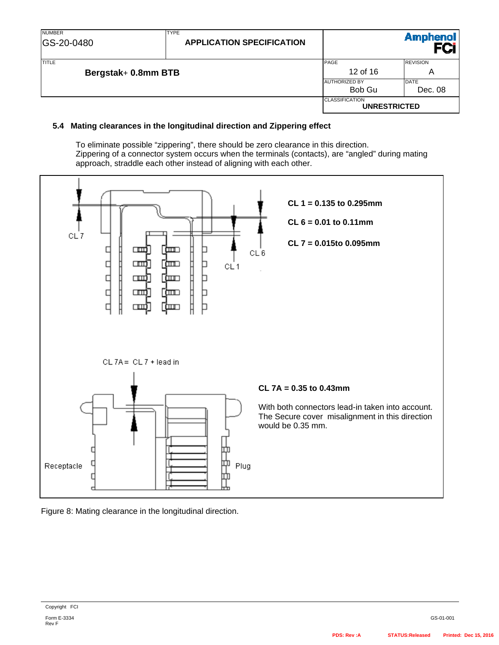| <b>NUMBER</b><br>GS-20-0480         | <b>TYPE</b><br><b>APPLICATION SPECIFICATION</b> |                                              | <b>Amphenol</b>        |
|-------------------------------------|-------------------------------------------------|----------------------------------------------|------------------------|
| <b>TITLE</b><br>Bergstak+ 0.8mm BTB |                                                 | PAGE<br>12 of 16                             | <b>REVISION</b><br>Α   |
|                                     |                                                 | <b>AUTHORIZED BY</b><br>Bob Gu               | <b>DATE</b><br>Dec. 08 |
|                                     |                                                 | <b>CLASSIFICATION</b><br><b>UNRESTRICTED</b> |                        |

#### **5.4 Mating clearances in the longitudinal direction and Zippering effect**

To eliminate possible "zippering", there should be zero clearance in this direction. Zippering of a connector system occurs when the terminals (contacts), are "angled" during mating approach, straddle each other instead of aligning with each other.



Figure 8: Mating clearance in the longitudinal direction.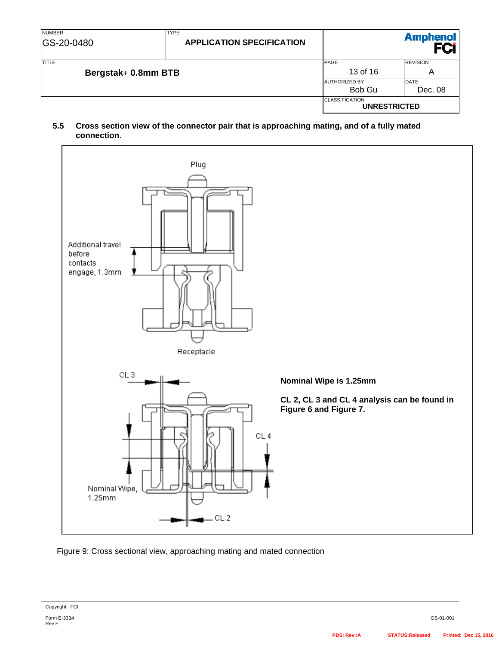| <b>NUMBER</b><br><b>GS-20-0480</b> | <b>TYPE</b><br><b>APPLICATION SPECIFICATION</b> |                                              | <b>Amphenol</b>        |
|------------------------------------|-------------------------------------------------|----------------------------------------------|------------------------|
| TITLE<br>Bergstak+ 0.8mm BTB       |                                                 | PAGE<br>13 of 16                             | <b>REVISION</b><br>Α   |
|                                    |                                                 | <b>AUTHORIZED BY</b><br>Bob Gu               | <b>DATE</b><br>Dec. 08 |
|                                    |                                                 | <b>CLASSIFICATION</b><br><b>UNRESTRICTED</b> |                        |

### **5.5 Cross section view of the connector pair that is approaching mating, and of a fully mated connection**.



Figure 9: Cross sectional view, approaching mating and mated connection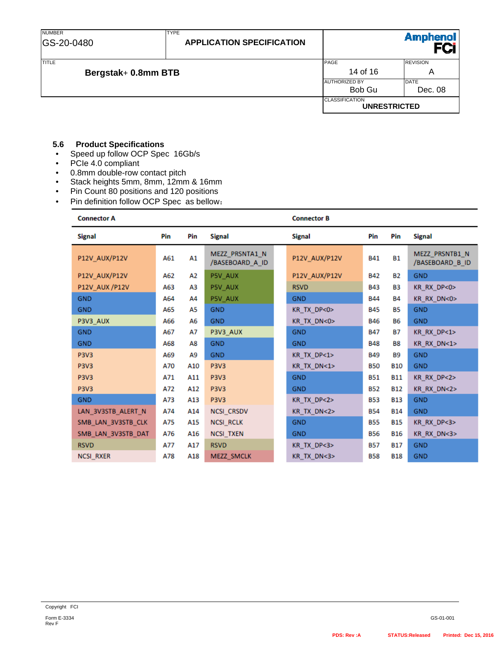### **5.6 Product Specifications**

- Speed up follow OCP Spec 16Gb/s
- PCIe 4.0 compliant
- 0.8mm double-row contact pitch
- Stack heights 5mm, 8mm, 12mm & 16mm
- Pin Count 80 positions and 120 positions
- Pin definition follow OCP Spec as bellow:

#### **Connector A**

# **Connector B**

| <b>Signal</b>      | Pin | Pin | <b>Signal</b>                     | <b>Signal</b> | Pin        | Pin            | <b>Signal</b>                     |
|--------------------|-----|-----|-----------------------------------|---------------|------------|----------------|-----------------------------------|
| P12V AUX/P12V      | A61 | A1  | MEZZ PRSNTA1 N<br>/BASEBOARD_A_ID | P12V AUX/P12V | <b>B41</b> | <b>B1</b>      | MEZZ PRSNTB1 N<br>/BASEBOARD_B_ID |
| P12V AUX/P12V      | A62 | А2  | P5V AUX                           | P12V AUX/P12V | <b>B42</b> | <b>B2</b>      | <b>GND</b>                        |
| P12V_AUX /P12V     | A63 | ΑЗ  | P5V_AUX                           | <b>RSVD</b>   | <b>B43</b> | B <sub>3</sub> | KR RX DP<0>                       |
| <b>GND</b>         | A64 | A4  | P5V AUX                           | <b>GND</b>    | <b>B44</b> | <b>B4</b>      | KR RX DN<0>                       |
| <b>GND</b>         | A65 | A5  | <b>GND</b>                        | KR TX DP<0>   | <b>B45</b> | <b>B5</b>      | <b>GND</b>                        |
| P3V3 AUX           | A66 | A6  | <b>GND</b>                        | KR TX DN<0>   | <b>B46</b> | <b>B6</b>      | <b>GND</b>                        |
| <b>GND</b>         | A67 | А7  | P3V3_AUX                          | <b>GND</b>    | <b>B47</b> | <b>B7</b>      | KR RX DP<1>                       |
| <b>GND</b>         | A68 | A8  | <b>GND</b>                        | <b>GND</b>    | <b>B48</b> | <b>B8</b>      | KR RX DN<1>                       |
| <b>P3V3</b>        | A69 | A9  | <b>GND</b>                        | KR_TX_DP<1>   | <b>B49</b> | <b>B9</b>      | <b>GND</b>                        |
| <b>P3V3</b>        | A70 | A10 | <b>P3V3</b>                       | KR TX DN<1>   | <b>B50</b> | <b>B10</b>     | <b>GND</b>                        |
| <b>P3V3</b>        | A71 | A11 | <b>P3V3</b>                       | <b>GND</b>    | <b>B51</b> | <b>B11</b>     | KR RX DP<2>                       |
| <b>P3V3</b>        | A72 | A12 | <b>P3V3</b>                       | <b>GND</b>    | <b>B52</b> | <b>B12</b>     | KR RX DN<2>                       |
| <b>GND</b>         | A73 | A13 | <b>P3V3</b>                       | KR TX DP<2>   | <b>B53</b> | <b>B13</b>     | <b>GND</b>                        |
| LAN_3V3STB_ALERT_N | A74 | A14 | NCSI_CRSDV                        | KR TX DN<2>   | <b>B54</b> | <b>B14</b>     | <b>GND</b>                        |
| SMB_LAN_3V3STB_CLK | A75 | A15 | <b>NCSI RCLK</b>                  | <b>GND</b>    | <b>B55</b> | <b>B15</b>     | KR RX DP<3>                       |
| SMB_LAN_3V3STB_DAT | A76 | A16 | NCSI_TXEN                         | <b>GND</b>    | <b>B56</b> | <b>B16</b>     | KR RX DN<3>                       |
| <b>RSVD</b>        | A77 | A17 | <b>RSVD</b>                       | KR TX DP<3>   | <b>B57</b> | <b>B17</b>     | <b>GND</b>                        |
| <b>NCSI RXER</b>   | A78 | A18 | MEZZ SMCLK                        | KR TX DN<3>   | <b>B58</b> | <b>B18</b>     | <b>GND</b>                        |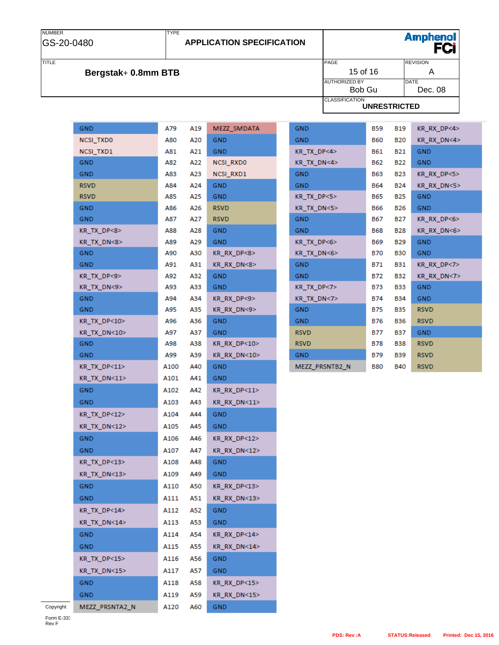### NUMBER GS-20-0480

### **APPLICATION SPECIFICATION**

Amphenol<br>**FCi** 

# **Bergstak+ 0.8mm BTB**

TYPE

|                     |                                              | $\sim$<br>---   |
|---------------------|----------------------------------------------|-----------------|
| <b>TITLE</b>        | PAGE                                         | <b>REVISION</b> |
| Bergstak+ 0.8mm BTB | 15 of 16                                     | Α               |
|                     | <b>AUTHORIZED BY</b>                         | <b>DATE</b>     |
|                     | Bob Gu                                       | Dec. 08         |
|                     | <b>CLASSIFICATION</b><br><b>UNRESTRICTED</b> |                 |

| GND              | A79      | A19     | MEZZ_SMDATA                  |
|------------------|----------|---------|------------------------------|
| <b>NCSI TXDO</b> | A80      | A20     | GND                          |
| NCSI_TXD1        | A81 -    | A21     | GND                          |
| GND              | A82      | A22     | NCSI_RXD0                    |
| GND              | A83      | A23     | NCSI RXD1                    |
| <b>RSVD</b>      | A84      | A24     | <b>GND</b>                   |
| <b>RSVD</b>      | A85      | A25     | GND                          |
| GND              | A86      | A26     | <b>RSVD</b>                  |
| GND              | A87 -    | A27     | <b>RSVD</b>                  |
| KR_TX_DP<8>      |          | A88 A28 | GND                          |
| KR_TX_DN<8>      | A89      | A29     | <b>GND</b>                   |
| GND.             | A90      | A30     | KR_RX_DP<8>                  |
| GND              | A91      | A31     | KR RX DN<8>                  |
| KR_TX_DP<9>      | A92      | A32     | GND.                         |
| KR_TX_DN<9>      | A93      | A33     | GND                          |
| GND.             |          | A94 A34 | KR_RX_DP<9>                  |
| GND              | A95      | A35     | KR RX DN<9>                  |
| KR_TX_DP<10>     | A96      | A36     | GND.                         |
| KR TX DN<10>     | A97      | A37     | GND                          |
| GND              | A98      | A38     | $KR$ <sub>RX</sub> $DP < 10$ |
| GND              | A99      | A39     | KR_RX_DN<10>                 |
| KR_TX_DP<11>     | A100 A40 |         | GND                          |
| KR TX DN<11>     | A101     | A41     | GND.                         |
| GND              | A102     | A42     | KR_RX_DP<11>                 |
| GND              | A103     | A43     | KR RX DN<11>                 |
| KR_TX_DP<12>     | A104     | A44     | <b>GND</b>                   |
| KR TX DN<12>     | A105     | A45     | GND                          |
| GND              | A106     | A46     | $KR$ <sub>RX</sub> $DP < 12$ |
| GND              | A107     | A47     | KR RX DN<12>                 |
| KR_TX_DP<13>     | A108     | A48     | GND                          |
| KR_TX_DN<13>     | A109     | A49     | GND                          |
| GND              | A110     | A50     | KR RX DP<13>                 |
| <b>GND</b>       | A111     | A51     | KR RX DN<13>                 |
| KR TX DP<14>     | A112     | A52     | GND.                         |
| KR_TX_DN<14>     | A113     | A53     | GND.                         |
| GND.             | A114     | A54     | KR RX DP<14>                 |
| GND.             | A115     | A55     | KR_RX_DN<14>                 |
| KR_TX_DP<15>     | A116     | A56     | GND.                         |
| KR_TX_DN<15>     | A117     | A57     | <b>GND</b>                   |
|                  | A118     | A58     | KR RX DP<15>                 |
| GND.             |          |         |                              |
| GND              | A119     | A59     | KR RX DN<15>                 |
| MEZZ PRSNTA2 N   | A120     | A60     | GND -                        |

| GND                | B59   | <b>B19</b> | KR RX DP<4> |
|--------------------|-------|------------|-------------|
| <b>GND</b>         | B60   | <b>B20</b> | KR_RX_DN<4> |
| KR_TX_DP<4>        | B61   | <b>B21</b> | <b>GND</b>  |
| KR_TX_DN<4>        | B62   | <b>B22</b> | <b>GND</b>  |
| GND                | B63   | B23        | KR RX DP<5> |
| <b>GND</b>         | B64   | B24        | KR RX DN<5> |
| $KR$ $TX$ $DP < 5$ | B65 - | <b>B25</b> | <b>GND</b>  |
| KR_TX_DN<5>        | B66 - | B26        | <b>GND</b>  |
| <b>GND</b>         | B67   | B27        | KR_RX_DP<6> |
| <b>GND</b>         | B68   | <b>B28</b> | KR RX DN<6> |
| KR_TX_DP<6>        | B69 - | <b>B29</b> | <b>GND</b>  |
| KR_TX_DN<6>        | B70   | <b>B30</b> | <b>GND</b>  |
| <b>GND</b>         | B71   | B31        | KR_RX_DP<7> |
| <b>GND</b>         | B72   | <b>B32</b> | KR_RX_DN<7> |
| $KR_TX_DP<7>$      | B73   | <b>B33</b> | <b>GND</b>  |
| KR_TX_DN<7>        | B74   | <b>B34</b> | <b>GND</b>  |
| GND                | B75 - | <b>B35</b> | <b>RSVD</b> |
| <b>GND</b>         | B76   | <b>B36</b> | <b>RSVD</b> |
| <b>RSVD</b>        | B77   | B37        | <b>GND</b>  |
| <b>RSVD</b>        | B78   | <b>B38</b> | <b>RSVD</b> |
| <b>GND</b>         | B79   | B39        | <b>RSVD</b> |
| MEZZ PRSNTB2 N     | B80   | <b>B40</b> | <b>RSVD</b> |

Copyright

Form E-333<br>Rev F